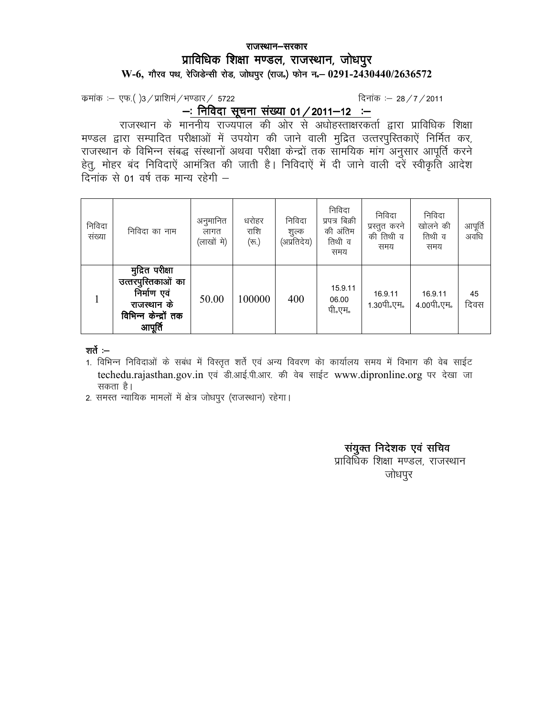## *jktLFkku&ljdkj jktLFkku&ljdkj izkfof/kd f'k{kk e.My] jktLFkku] tk s/kiqj e.My]*  W-6, गौरव पथ, रेजिडेन्सी रोड, जोधपुर (राज.) फोन न. 0291-2430440/2636572

*d zekad %& ,Q-¼ ½3@i zkf'kea@Hk.Mkj@ 5722 fnukad %& 28@7@2011* 

*A*: <u>निविदा सूचना संख्या 01 / 2011-12 :-</u>

 *jktLFkku ds ekuuh; jkT;iky dh vksj l s v/kksgLrk{kjdrkZ }kjk izkfof/kd f'k{kk*  मण्डल द्वारा सम्पादित परीक्षाओं में उपयोग की जाने वाली मुद्रित उत्तरपुरितकाऐं निर्मित कर, *jktLFkku ds fofHkUu l ac) l aLFkkuksa vFkok ijh{kk d sUn zksa rd lkef;d ekax vu qlkj vkiwfr Z djus*  हेतू, मोहर बंद निविदाऐं आमंत्रित की जाती है। निविदाऐं में दी जाने वाली दरें स्वीकृति आदेश |<br>दिनांक से 01 वर्ष तक मान्य रहेगी *–* 

| निविदा<br>संख्या | निविदा का नाम                                                                                          | अनुमानित<br>लागत<br>(लाखों मे) | धरोहर<br>राशि<br>$(\overline{\tau_0})$ | निविदा<br>शुल्क<br>(अप्रतिदेय) | निविदा<br>प्रपत्र बिक्री<br>की अंतिम<br>तिथी व<br>समय | निविदा<br>प्रस्तुत करने<br>की तिथी व<br>समय | निविदा<br>खोलने की<br>तिथी व<br>समय | आपूर्ति<br>अवधि |
|------------------|--------------------------------------------------------------------------------------------------------|--------------------------------|----------------------------------------|--------------------------------|-------------------------------------------------------|---------------------------------------------|-------------------------------------|-----------------|
|                  | मुद्रित परीक्षा<br>उत्तरपुस्तिकाओं का<br>निर्माण एवं<br>राजस्थान के<br>विभिन्न केन्द्रों तक<br>आपूर्ति | 50.00                          | 100000                                 | 400                            | 15.9.11<br>06.00<br>पी॰एम॰                            | 16.9.11<br>1.30पी॰एम॰                       | 16.9.11<br>4.00पी॰एम॰               | 45<br>दिवस      |

#### शर्ते :-

- 1. विभिन्न निविदाओं के सबंध में विस्तृत शर्ते एवं अन्य विवरण को कार्यालय समय में विभाग की वेब साईट techedu.rajasthan.gov.in एवं डी.आई.पी.आर. की वेब साईट www.dipronline.org पर देखा जा *ldrk gSA*
- 2. समस्त न्यायिक मामलों में क्षेत्र जोधपूर (राजस्थान) रहेगा।

## *<i>संयुक्त निदेशक एवं सचिव*

*yidिa शिक्षा मण्डल, राजस्थान* <u>जोधपूर</u>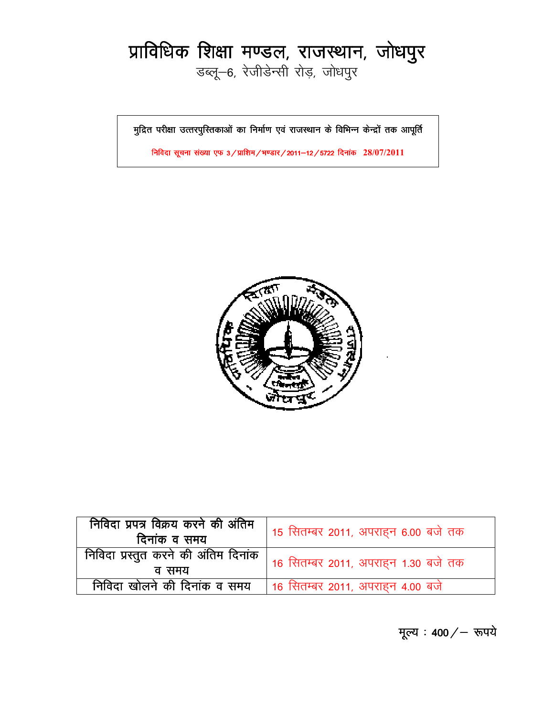# *izkfof/kd f'k{kk e.My] jktLFkku] tk s/kiqj*

*MCyw&6] j sthMsUlh jksM+] tks/kiqj* 

*eqfnzr ijh{kk mRrji qfLrdkvk sa dk fuek Z.k ,oa jktLFk eqfnzr ijh{kk mRrji qfLrdkvk sa dk jktLFkku d s fofHkUu d sUnzk as dkvk s d ku as rd vkiwfrZ rd vkiwfrZ* 

*fufonk l wpuk l a[;k ,Q 3@izkf'ke@Hk.Mkj@2011&12@5722 fnuk ad* **28/07/2011**



| निविदा प्रपत्र विक्रय करने की अंतिम<br>दिनांक व समय | 15 सितम्बर 2011, अपराहन 6.00 बजे तक                                                 |
|-----------------------------------------------------|-------------------------------------------------------------------------------------|
|                                                     | , <b>निविदा प्रस्तुत करने की अंतिम दिनांक   16</b> सितम्बर 2011, अपराहन 1.30 बजे तक |
| निविदा खोलने की दिनांक व समय                        | 16 सितम्बर 2011, अपराहन 4.00 बजे                                                    |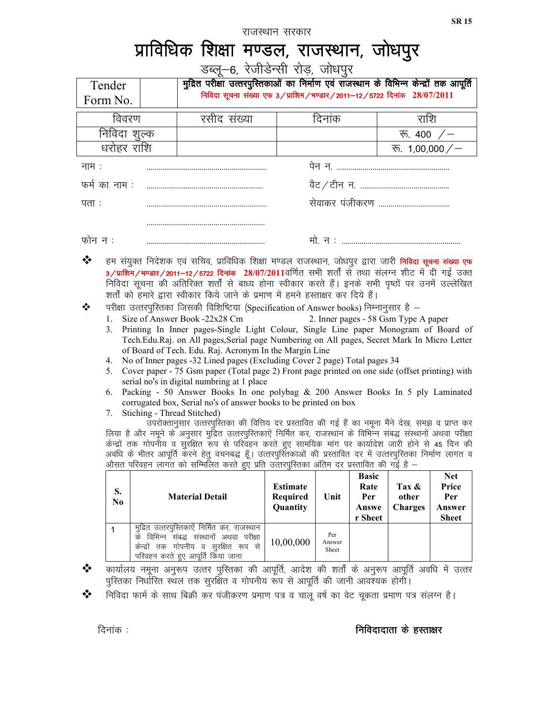राजस्थान सरकार

## *izkfof/kd f'k{kk e.My] jktLFkku] tks/kiqj*

डब्लू—6, रेजीडेन्सी रोड़, जोधपुर

|                                                                                                                                                                                                                                                                                                                                                                                                                                                                                                                                                                                                                                                                                                                                                                                                                                                                                                                                                                                                                                                                                                                                                                                                                                                                                                                                                                                                                                                                                                                                                                                                                                                                                                                                                                                                                                                                            |                                                                        | डब्लू—6, रेजीडेन्सी रोड़, जोधपुर                                                                                                                                      |                                                |                        |                                                 |                                  |                                                      |
|----------------------------------------------------------------------------------------------------------------------------------------------------------------------------------------------------------------------------------------------------------------------------------------------------------------------------------------------------------------------------------------------------------------------------------------------------------------------------------------------------------------------------------------------------------------------------------------------------------------------------------------------------------------------------------------------------------------------------------------------------------------------------------------------------------------------------------------------------------------------------------------------------------------------------------------------------------------------------------------------------------------------------------------------------------------------------------------------------------------------------------------------------------------------------------------------------------------------------------------------------------------------------------------------------------------------------------------------------------------------------------------------------------------------------------------------------------------------------------------------------------------------------------------------------------------------------------------------------------------------------------------------------------------------------------------------------------------------------------------------------------------------------------------------------------------------------------------------------------------------------|------------------------------------------------------------------------|-----------------------------------------------------------------------------------------------------------------------------------------------------------------------|------------------------------------------------|------------------------|-------------------------------------------------|----------------------------------|------------------------------------------------------|
| Tender                                                                                                                                                                                                                                                                                                                                                                                                                                                                                                                                                                                                                                                                                                                                                                                                                                                                                                                                                                                                                                                                                                                                                                                                                                                                                                                                                                                                                                                                                                                                                                                                                                                                                                                                                                                                                                                                     |                                                                        | मुद्रित परीक्षा उत्तरपुरितकाओं का निर्माण एवं राजस्थान के विभिन्न केन्द्रों तक आपूर्ति                                                                                |                                                |                        |                                                 |                                  |                                                      |
| Form No.                                                                                                                                                                                                                                                                                                                                                                                                                                                                                                                                                                                                                                                                                                                                                                                                                                                                                                                                                                                                                                                                                                                                                                                                                                                                                                                                                                                                                                                                                                                                                                                                                                                                                                                                                                                                                                                                   | निविदा सूचना संख्या एफ 3/प्राशिम/भण्डार/2011-12/5722 दिनांक 28/07/2011 |                                                                                                                                                                       |                                                |                        |                                                 |                                  |                                                      |
| विवरण                                                                                                                                                                                                                                                                                                                                                                                                                                                                                                                                                                                                                                                                                                                                                                                                                                                                                                                                                                                                                                                                                                                                                                                                                                                                                                                                                                                                                                                                                                                                                                                                                                                                                                                                                                                                                                                                      |                                                                        | रसीद संख्या                                                                                                                                                           |                                                | दिनांक                 |                                                 | राशि                             |                                                      |
| निविदा शुल्क                                                                                                                                                                                                                                                                                                                                                                                                                                                                                                                                                                                                                                                                                                                                                                                                                                                                                                                                                                                                                                                                                                                                                                                                                                                                                                                                                                                                                                                                                                                                                                                                                                                                                                                                                                                                                                                               |                                                                        |                                                                                                                                                                       |                                                |                        |                                                 | रू. 400 $/$                      |                                                      |
| धरोहर राशि                                                                                                                                                                                                                                                                                                                                                                                                                                                                                                                                                                                                                                                                                                                                                                                                                                                                                                                                                                                                                                                                                                                                                                                                                                                                                                                                                                                                                                                                                                                                                                                                                                                                                                                                                                                                                                                                 |                                                                        |                                                                                                                                                                       |                                                |                        |                                                 | रू. 1,00,000/-                   |                                                      |
| नाम :                                                                                                                                                                                                                                                                                                                                                                                                                                                                                                                                                                                                                                                                                                                                                                                                                                                                                                                                                                                                                                                                                                                                                                                                                                                                                                                                                                                                                                                                                                                                                                                                                                                                                                                                                                                                                                                                      |                                                                        |                                                                                                                                                                       |                                                |                        |                                                 |                                  |                                                      |
| फर्म का नाम :                                                                                                                                                                                                                                                                                                                                                                                                                                                                                                                                                                                                                                                                                                                                                                                                                                                                                                                                                                                                                                                                                                                                                                                                                                                                                                                                                                                                                                                                                                                                                                                                                                                                                                                                                                                                                                                              |                                                                        |                                                                                                                                                                       |                                                |                        |                                                 |                                  |                                                      |
| पता :                                                                                                                                                                                                                                                                                                                                                                                                                                                                                                                                                                                                                                                                                                                                                                                                                                                                                                                                                                                                                                                                                                                                                                                                                                                                                                                                                                                                                                                                                                                                                                                                                                                                                                                                                                                                                                                                      |                                                                        |                                                                                                                                                                       |                                                |                        |                                                 |                                  |                                                      |
|                                                                                                                                                                                                                                                                                                                                                                                                                                                                                                                                                                                                                                                                                                                                                                                                                                                                                                                                                                                                                                                                                                                                                                                                                                                                                                                                                                                                                                                                                                                                                                                                                                                                                                                                                                                                                                                                            |                                                                        |                                                                                                                                                                       |                                                |                        |                                                 |                                  |                                                      |
| फोन न :                                                                                                                                                                                                                                                                                                                                                                                                                                                                                                                                                                                                                                                                                                                                                                                                                                                                                                                                                                                                                                                                                                                                                                                                                                                                                                                                                                                                                                                                                                                                                                                                                                                                                                                                                                                                                                                                    |                                                                        |                                                                                                                                                                       |                                                |                        |                                                 |                                  |                                                      |
| ❖<br>हम संयुक्त निदेशक एवं सचिव, प्राविधिक शिक्षा मण्डल राजस्थान, जोधपुर द्वारा जारी <mark>निविदा सूचना संख्या एफ</mark><br>3/ <b>प्राशिम/भण्डार/2011–12/5722 दिनांक  28/07/2011</b> वर्णित  सभी  शर्तों  से  तथा  संलग्न  शीट  में  दी  गई  उक्त<br>निविदा सूचना की अतिरिक्त शर्तों से बाध्य होना स्वीकार करते हैं। इनके सभी पृष्ठों पर उनमें उल्लेखित<br>शर्तों को हमारे द्वारा स्वीकार किये जाने के प्रमाण में हमने हस्ताक्षर कर दिये हैं।<br>परीक्षा उत्तरपुरितका जिसकी विशिष्टिया (Specification of Answer books) निम्नानुसार है $-$<br>❖<br>1. Size of Answer Book -22x28 Cm<br>2. Inner pages - 58 Gsm Type A paper<br>Printing In Inner pages-Single Light Colour, Single Line paper Monogram of Board of<br>3.<br>Tech.Edu.Raj. on All pages,Serial page Numbering on All pages, Secret Mark In Micro Letter<br>of Board of Tech. Edu. Raj. Acronym In the Margin Line<br>No of Inner pages -32 Lined pages (Excluding Cover 2 page) Total pages 34<br>4.<br>Cover paper - 75 Gsm paper (Total page 2) Front page printed on one side (offset printing) with<br>5.<br>serial no's in digital numbring at 1 place<br>Packing - 50 Answer Books In one polybag & 200 Answer Books In 5 ply Laminated<br>6.<br>corrugated box, Serial no's of answer books to be printed on box<br>Stiching - Thread Stitched)<br>7.<br>उपरोक्तानुसार उत्तरपुरितका की वित्तिय दर प्रस्तावित की गई हैं का नमूना मैंने देख, समझ व प्राप्त कर<br>लिया है और नमूने के अनुसार मुद्रित उत्तरपुस्तिकाऐं निर्मित कर, राजस्थान के विभिन्न संबद्ध संस्थानों अथवा परीक्षा<br>केन्द्रों तक गोपनौंय व सुरक्षित रूप से परिवहन करते हुए सामयिक मांग पर कार्यादेश जारी होने से 45 दिन की<br>अवधि के भीतर आपूर्ति करने हेतु वचनबद्ध हूँ। उत्तरपुस्तिकाओं की प्रस्तावित दर में उत्तरपुस्तिका निर्माण लागत व<br>: औसत परिवहन लागत को सम्मिलित करते हुए प्रति उत्तरपुस्तिका अंतिम दर प्रस्तावित की गई है |                                                                        |                                                                                                                                                                       |                                                |                        |                                                 |                                  |                                                      |
| S.<br>N <sub>0</sub>                                                                                                                                                                                                                                                                                                                                                                                                                                                                                                                                                                                                                                                                                                                                                                                                                                                                                                                                                                                                                                                                                                                                                                                                                                                                                                                                                                                                                                                                                                                                                                                                                                                                                                                                                                                                                                                       |                                                                        | <b>Material Detail</b>                                                                                                                                                | <b>Estimate</b><br><b>Required</b><br>Quantity | Unit                   | <b>Basic</b><br>Rate<br>Per<br>Answe<br>r Sheet | Tax &<br>other<br><b>Charges</b> | <b>Net</b><br>Price<br>Per<br>Answer<br><b>Sheet</b> |
| $\mathbf{1}$                                                                                                                                                                                                                                                                                                                                                                                                                                                                                                                                                                                                                                                                                                                                                                                                                                                                                                                                                                                                                                                                                                                                                                                                                                                                                                                                                                                                                                                                                                                                                                                                                                                                                                                                                                                                                                                               |                                                                        | मुद्रित उत्तरपुरितकाऐं निर्मित कर, राजस्थान<br>के विभिन्न संबद्ध संस्थानों अथवा परीक्षा<br>केन्द्रों तक गोपनीय व सुरक्षित रूप से<br>परिवहन करते हुए आपूर्ति किया जाना | 10,00,000                                      | Per<br>Answer<br>Sheet |                                                 |                                  |                                                      |
| ❖                                                                                                                                                                                                                                                                                                                                                                                                                                                                                                                                                                                                                                                                                                                                                                                                                                                                                                                                                                                                                                                                                                                                                                                                                                                                                                                                                                                                                                                                                                                                                                                                                                                                                                                                                                                                                                                                          |                                                                        | कार्यालय नमूना अनुरूप उत्तर पुस्तिका की आपूर्ति, आदेश की शर्तों के अनुरूप आपूर्ति अवधि में उत्तर                                                                      |                                                |                        |                                                 |                                  |                                                      |

- पुस्तिका निर्धारित स्थल तक सुरक्षित व गोपनीय रूप से आपूर्ति की जानी आवश्यक होगी।
- **\*** निविदा फार्म के साथ बिक्री कर पंजीकरण प्रमाण पत्र व चालू वर्ष का वेट चूकता प्रमाण पत्र संलग्न है।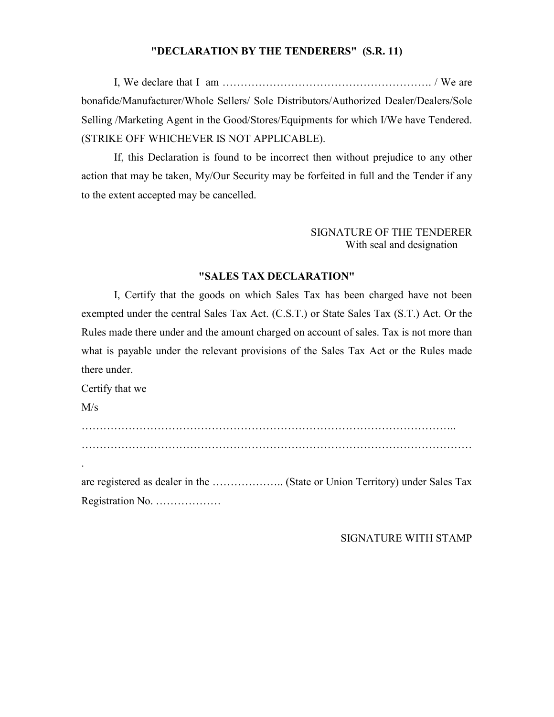#### "DECLARATION BY THE TENDERERS" (S.R. 11)

I, We declare that I am …………………………………………………. / We are bonafide/Manufacturer/Whole Sellers/ Sole Distributors/Authorized Dealer/Dealers/Sole Selling /Marketing Agent in the Good/Stores/Equipments for which I/We have Tendered. (STRIKE OFF WHICHEVER IS NOT APPLICABLE).

 If, this Declaration is found to be incorrect then without prejudice to any other action that may be taken, My/Our Security may be forfeited in full and the Tender if any to the extent accepted may be cancelled.

#### SIGNATURE OF THE TENDERER With seal and designation

#### **"SALES TAX DECLARATIO"**

 I, Certify that the goods on which Sales Tax has been charged have not been exempted under the central Sales Tax Act. (C.S.T.) or State Sales Tax (S.T.) Act. Or the Rules made there under and the amount charged on account of sales. Tax is not more than what is payable under the relevant provisions of the Sales Tax Act or the Rules made there under.

Certify that we

 $M/s$ 

………………………………………………………………………………………….. ……………………………………………………………………………………………… . are registered as dealer in the ……………….. (State or Union Territory) under Sales Tax Registration No. ………………

SIGNATURE WITH STAMP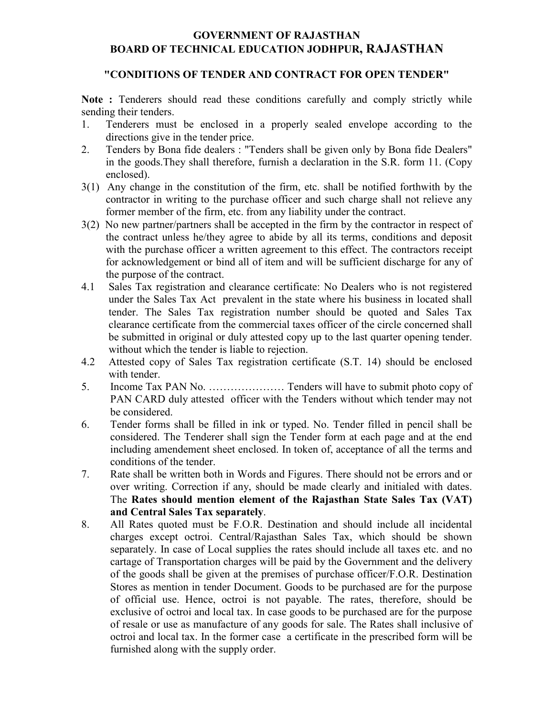## **GOVERNMENT OF RAJASTHAN BOARD OF TECHNICAL EDUCATION JODHPUR, RAJASTHAN**

#### "CONDITIONS OF TENDER AND CONTRACT FOR OPEN TENDER"

Note : Tenderers should read these conditions carefully and comply strictly while sending their tenders.

- 1. Tenderers must be enclosed in a properly sealed envelope according to the directions give in the tender price.
- 2. Tenders by Bona fide dealers : "Tenders shall be given only by Bona fide Dealers" in the goods.They shall therefore, furnish a declaration in the S.R. form 11. (Copy enclosed).
- 3(1) Any change in the constitution of the firm, etc. shall be notified forthwith by the contractor in writing to the purchase officer and such charge shall not relieve any former member of the firm, etc. from any liability under the contract.
- 3(2) No new partner/partners shall be accepted in the firm by the contractor in respect of the contract unless he/they agree to abide by all its terms, conditions and deposit with the purchase officer a written agreement to this effect. The contractors receipt for acknowledgement or bind all of item and will be sufficient discharge for any of the purpose of the contract.
- 4.1 Sales Tax registration and clearance certificate: No Dealers who is not registered under the Sales Tax Act prevalent in the state where his business in located shall tender. The Sales Tax registration number should be quoted and Sales Tax clearance certificate from the commercial taxes officer of the circle concerned shall be submitted in original or duly attested copy up to the last quarter opening tender. without which the tender is liable to rejection.
- 4.2 Attested copy of Sales Tax registration certificate (S.T. 14) should be enclosed with tender.
- 5. Income Tax PAN No. ………………… Tenders will have to submit photo copy of PAN CARD duly attested officer with the Tenders without which tender may not be considered.
- 6. Tender forms shall be filled in ink or typed. No. Tender filled in pencil shall be considered. The Tenderer shall sign the Tender form at each page and at the end including amendement sheet enclosed. In token of, acceptance of all the terms and conditions of the tender.
- 7. Rate shall be written both in Words and Figures. There should not be errors and or over writing. Correction if any, should be made clearly and initialed with dates. The **Rates should mention element of the Rajasthan State Sales Tax (VAT) and Central Sales Tax separately**.
- 8. All Rates quoted must be F.O.R. Destination and should include all incidental charges except octroi. Central/Rajasthan Sales Tax, which should be shown separately. In case of Local supplies the rates should include all taxes etc. and no cartage of Transportation charges will be paid by the Government and the delivery of the goods shall be given at the premises of purchase officer/F.O.R. Destination Stores as mention in tender Document. Goods to be purchased are for the purpose of official use. Hence, octroi is not payable. The rates, therefore, should be exclusive of octroi and local tax. In case goods to be purchased are for the purpose of resale or use as manufacture of any goods for sale. The Rates shall inclusive of octroi and local tax. In the former case a certificate in the prescribed form will be furnished along with the supply order.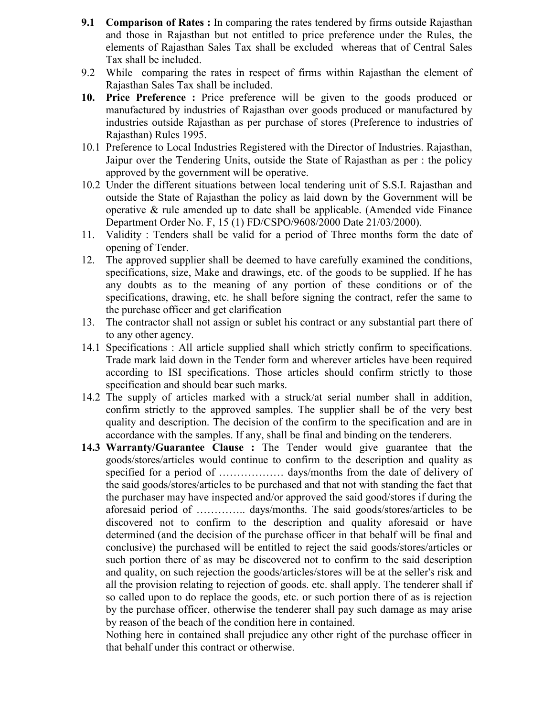- **9.1 Comparison of Rates :** In comparing the rates tendered by firms outside Rajasthan and those in Rajasthan but not entitled to price preference under the Rules, the elements of Rajasthan Sales Tax shall be excluded whereas that of Central Sales Tax shall be included.
- 9.2 While comparing the rates in respect of firms within Rajasthan the element of Rajasthan Sales Tax shall be included.
- **10. Price Preference :** Price preference will be given to the goods produced or manufactured by industries of Rajasthan over goods produced or manufactured by industries outside Rajasthan as per purchase of stores (Preference to industries of Rajasthan) Rules 1995.
- 10.1 Preference to Local Industries Registered with the Director of Industries. Rajasthan, Jaipur over the Tendering Units, outside the State of Rajasthan as per : the policy approved by the government will be operative.
- 10.2 Under the different situations between local tendering unit of S.S.I. Rajasthan and outside the State of Rajasthan the policy as laid down by the Government will be operative & rule amended up to date shall be applicable. (Amended vide Finance Department Order No. F, 15 (1) FD/CSPO/9608/2000 Date 21/03/2000).
- 11. Validity : Tenders shall be valid for a period of Three months form the date of opening of Tender.
- 12. The approved supplier shall be deemed to have carefully examined the conditions, specifications, size, Make and drawings, etc. of the goods to be supplied. If he has any doubts as to the meaning of any portion of these conditions or of the specifications, drawing, etc. he shall before signing the contract, refer the same to the purchase officer and get clarification
- 13. The contractor shall not assign or sublet his contract or any substantial part there of to any other agency.
- 14.1 Specifications : All article supplied shall which strictly confirm to specifications. Trade mark laid down in the Tender form and wherever articles have been required according to ISI specifications. Those articles should confirm strictly to those specification and should bear such marks.
- 14.2 The supply of articles marked with a struck/at serial number shall in addition, confirm strictly to the approved samples. The supplier shall be of the very best quality and description. The decision of the confirm to the specification and are in accordance with the samples. If any, shall be final and binding on the tenderers.
- **14.3 Warranty/Guarantee Clause :** The Tender would give guarantee that the goods/stores/articles would continue to confirm to the description and quality as specified for a period of ……………… days/months from the date of delivery of the said goods/stores/articles to be purchased and that not with standing the fact that the purchaser may have inspected and/or approved the said good/stores if during the aforesaid period of ………….. days/months. The said goods/stores/articles to be discovered not to confirm to the description and quality aforesaid or have determined (and the decision of the purchase officer in that behalf will be final and conclusive) the purchased will be entitled to reject the said goods/stores/articles or such portion there of as may be discovered not to confirm to the said description and quality, on such rejection the goods/articles/stores will be at the seller's risk and all the provision relating to rejection of goods. etc. shall apply. The tenderer shall if so called upon to do replace the goods, etc. or such portion there of as is rejection by the purchase officer, otherwise the tenderer shall pay such damage as may arise by reason of the beach of the condition here in contained.

Nothing here in contained shall prejudice any other right of the purchase officer in that behalf under this contract or otherwise.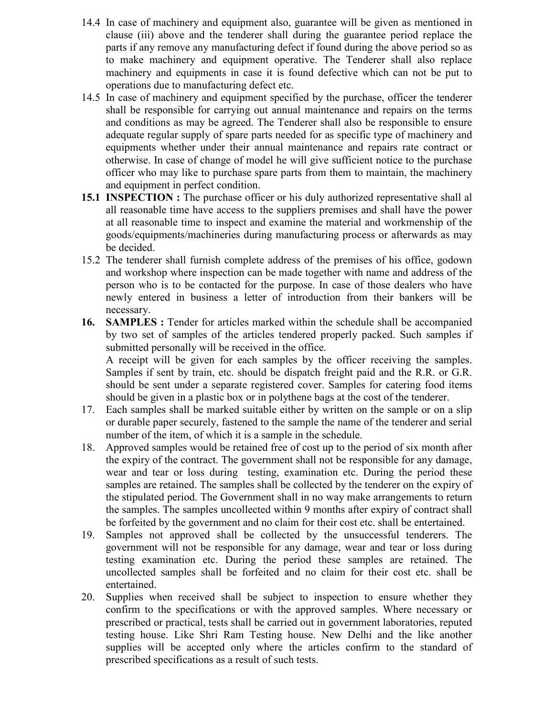- 14.4 In case of machinery and equipment also, guarantee will be given as mentioned in clause (iii) above and the tenderer shall during the guarantee period replace the parts if any remove any manufacturing defect if found during the above period so as to make machinery and equipment operative. The Tenderer shall also replace machinery and equipments in case it is found defective which can not be put to operations due to manufacturing defect etc.
- 14.5 In case of machinery and equipment specified by the purchase, officer the tenderer shall be responsible for carrying out annual maintenance and repairs on the terms and conditions as may be agreed. The Tenderer shall also be responsible to ensure adequate regular supply of spare parts needed for as specific type of machinery and equipments whether under their annual maintenance and repairs rate contract or otherwise. In case of change of model he will give sufficient notice to the purchase officer who may like to purchase spare parts from them to maintain, the machinery and equipment in perfect condition.
- **15.1 INSPECTION :** The purchase officer or his duly authorized representative shall al all reasonable time have access to the suppliers premises and shall have the power at all reasonable time to inspect and examine the material and workmenship of the goods/equipments/machineries during manufacturing process or afterwards as may be decided.
- 15.2 The tenderer shall furnish complete address of the premises of his office, godown and workshop where inspection can be made together with name and address of the person who is to be contacted for the purpose. In case of those dealers who have newly entered in business a letter of introduction from their bankers will be necessary.
- **16. SAMPLES :** Tender for articles marked within the schedule shall be accompanied by two set of samples of the articles tendered properly packed. Such samples if submitted personally will be received in the office. A receipt will be given for each samples by the officer receiving the samples.

Samples if sent by train, etc. should be dispatch freight paid and the R.R. or G.R. should be sent under a separate registered cover. Samples for catering food items should be given in a plastic box or in polythene bags at the cost of the tenderer.

- 17. Each samples shall be marked suitable either by written on the sample or on a slip or durable paper securely, fastened to the sample the name of the tenderer and serial number of the item, of which it is a sample in the schedule.
- 18. Approved samples would be retained free of cost up to the period of six month after the expiry of the contract. The government shall not be responsible for any damage, wear and tear or loss during testing, examination etc. During the period these samples are retained. The samples shall be collected by the tenderer on the expiry of the stipulated period. The Government shall in no way make arrangements to return the samples. The samples uncollected within 9 months after expiry of contract shall be forfeited by the government and no claim for their cost etc. shall be entertained.
- 19. Samples not approved shall be collected by the unsuccessful tenderers. The government will not be responsible for any damage, wear and tear or loss during testing examination etc. During the period these samples are retained. The uncollected samples shall be forfeited and no claim for their cost etc. shall be entertained.
- 20. Supplies when received shall be subject to inspection to ensure whether they confirm to the specifications or with the approved samples. Where necessary or prescribed or practical, tests shall be carried out in government laboratories, reputed testing house. Like Shri Ram Testing house. New Delhi and the like another supplies will be accepted only where the articles confirm to the standard of prescribed specifications as a result of such tests.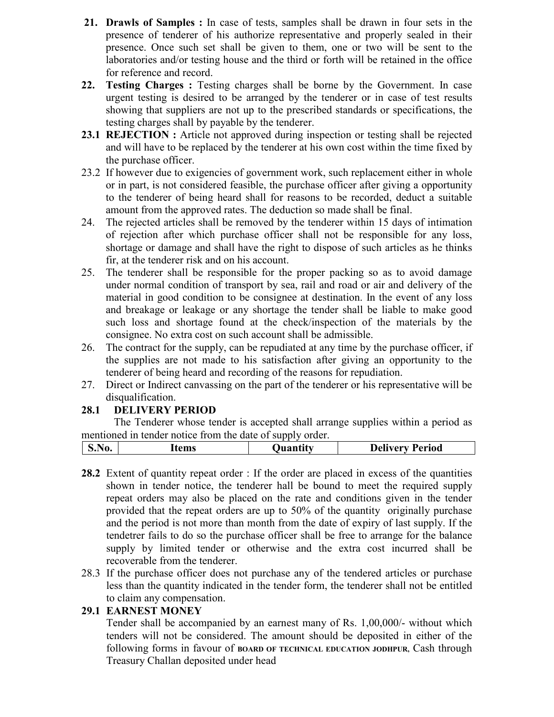- **21. Drawls of Samples :** In case of tests, samples shall be drawn in four sets in the presence of tenderer of his authorize representative and properly sealed in their presence. Once such set shall be given to them, one or two will be sent to the laboratories and/or testing house and the third or forth will be retained in the office for reference and record.
- 22. Testing Charges : Testing charges shall be borne by the Government. In case urgent testing is desired to be arranged by the tenderer or in case of test results showing that suppliers are not up to the prescribed standards or specifications, the testing charges shall by payable by the tenderer.
- **23.1 REJECTION**: Article not approved during inspection or testing shall be rejected and will have to be replaced by the tenderer at his own cost within the time fixed by the purchase officer.
- 23.2 If however due to exigencies of government work, such replacement either in whole or in part, is not considered feasible, the purchase officer after giving a opportunity to the tenderer of being heard shall for reasons to be recorded, deduct a suitable amount from the approved rates. The deduction so made shall be final.
- 24. The rejected articles shall be removed by the tenderer within 15 days of intimation of rejection after which purchase officer shall not be responsible for any loss, shortage or damage and shall have the right to dispose of such articles as he thinks fir, at the tenderer risk and on his account.
- 25. The tenderer shall be responsible for the proper packing so as to avoid damage under normal condition of transport by sea, rail and road or air and delivery of the material in good condition to be consignee at destination. In the event of any loss and breakage or leakage or any shortage the tender shall be liable to make good such loss and shortage found at the check/inspection of the materials by the consignee. No extra cost on such account shall be admissible.
- 26. The contract for the supply, can be repudiated at any time by the purchase officer, if the supplies are not made to his satisfaction after giving an opportunity to the tenderer of being heard and recording of the reasons for repudiation.
- 27. Direct or Indirect canvassing on the part of the tenderer or his representative will be disqualification.

## **28.1 DELIVERY PERIOD**

The Tenderer whose tender is accepted shall arrange supplies within a period as mentioned in tender notice from the date of supply order.

| <b>S.No.</b> | ⊥tems | Juantıtv | - -<br>Period<br>Nalivary |
|--------------|-------|----------|---------------------------|
|              |       |          |                           |

- **28.2** Extent of quantity repeat order : If the order are placed in excess of the quantities shown in tender notice, the tenderer hall be bound to meet the required supply repeat orders may also be placed on the rate and conditions given in the tender provided that the repeat orders are up to 50% of the quantity originally purchase and the period is not more than month from the date of expiry of last supply. If the tendetrer fails to do so the purchase officer shall be free to arrange for the balance supply by limited tender or otherwise and the extra cost incurred shall be recoverable from the tenderer.
- 28.3 If the purchase officer does not purchase any of the tendered articles or purchase less than the quantity indicated in the tender form, the tenderer shall not be entitled to claim any compensation.

## **29.1 EARNEST MONEY**

 Tender shall be accompanied by an earnest many of Rs. 1,00,000/- without which tenders will not be considered. The amount should be deposited in either of the following forms in favour of **BOARD** OF TECHNICAL EDUCATION JODHPUR, Cash through Treasury Challan deposited under head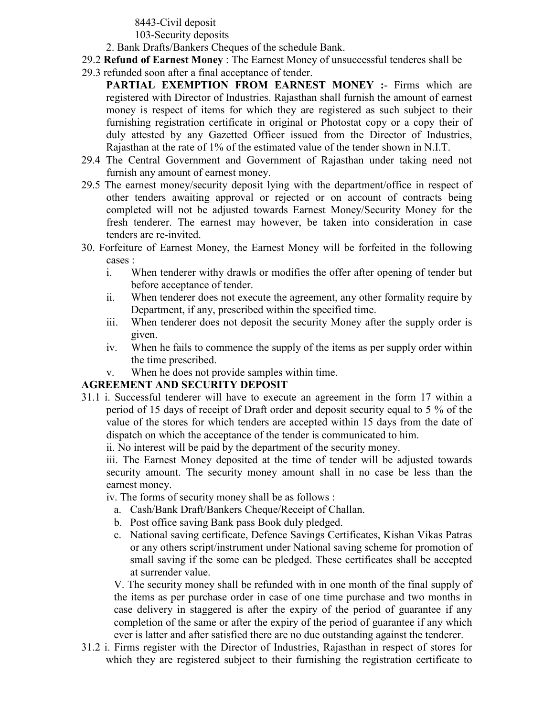8443-Civil deposit

103-Security deposits

- 2. Bank Drafts/Bankers Cheques of the schedule Bank.
- 29.2 **Refund of Earnest Money** : The Earnest Money of unsuccessful tenderes shall be
- 29.3 refunded soon after a final acceptance of tender.
	- **PARTIAL EXEMPTION FROM EARNEST MONEY :- Firms which are** registered with Director of Industries. Rajasthan shall furnish the amount of earnest money is respect of items for which they are registered as such subject to their furnishing registration certificate in original or Photostat copy or a copy their of duly attested by any Gazetted Officer issued from the Director of Industries, Rajasthan at the rate of 1% of the estimated value of the tender shown in N.I.T.
- 29.4 The Central Government and Government of Rajasthan under taking need not furnish any amount of earnest money.
- 29.5 The earnest money/security deposit lying with the department/office in respect of other tenders awaiting approval or rejected or on account of contracts being completed will not be adjusted towards Earnest Money/Security Money for the fresh tenderer. The earnest may however, be taken into consideration in case tenders are re-invited.
- 30. Forfeiture of Earnest Money, the Earnest Money will be forfeited in the following cases :
	- i. When tenderer withy drawls or modifies the offer after opening of tender but before acceptance of tender.
	- ii. When tenderer does not execute the agreement, any other formality require by Department, if any, prescribed within the specified time.
	- iii. When tenderer does not deposit the security Money after the supply order is given.
	- iv. When he fails to commence the supply of the items as per supply order within the time prescribed.
	- v. When he does not provide samples within time.

## **AGREEMENT AND SECURITY DEPOSIT**

31.1 i. Successful tenderer will have to execute an agreement in the form 17 within a period of 15 days of receipt of Draft order and deposit security equal to 5 % of the value of the stores for which tenders are accepted within 15 days from the date of dispatch on which the acceptance of the tender is communicated to him.

ii. No interest will be paid by the department of the security money.

iii. The Earnest Money deposited at the time of tender will be adjusted towards security amount. The security money amount shall in no case be less than the earnest money.

iv. The forms of security money shall be as follows :

- a. Cash/Bank Draft/Bankers Cheque/Receipt of Challan.
- b. Post office saving Bank pass Book duly pledged.
- c. National saving certificate, Defence Savings Certificates, Kishan Vikas Patras or any others script/instrument under National saving scheme for promotion of small saving if the some can be pledged. These certificates shall be accepted at surrender value.

V. The security money shall be refunded with in one month of the final supply of the items as per purchase order in case of one time purchase and two months in case delivery in staggered is after the expiry of the period of guarantee if any completion of the same or after the expiry of the period of guarantee if any which ever is latter and after satisfied there are no due outstanding against the tenderer.

31.2 i. Firms register with the Director of Industries, Rajasthan in respect of stores for which they are registered subject to their furnishing the registration certificate to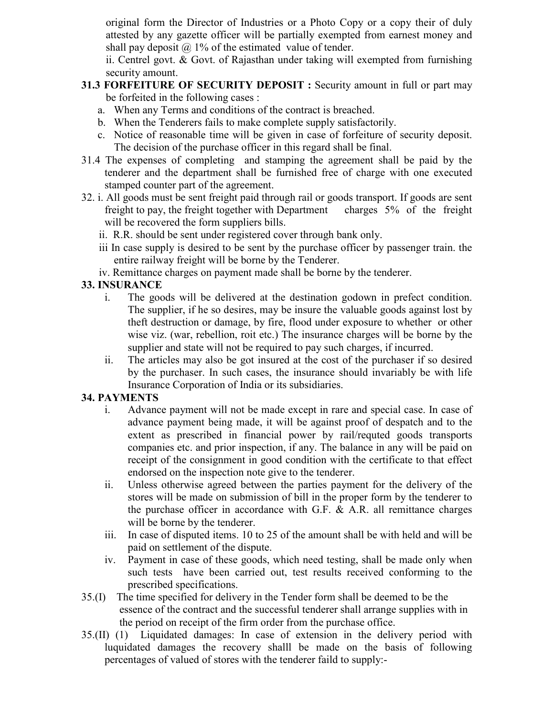original form the Director of Industries or a Photo Copy or a copy their of duly attested by any gazette officer will be partially exempted from earnest money and shall pay deposit  $\omega$  1% of the estimated value of tender.

ii. Centrel govt. & Govt. of Rajasthan under taking will exempted from furnishing security amount.

- **31.3 FORFEITURE OF SECURITY DEPOSIT : Security amount in full or part may** be forfeited in the following cases :
	- a. When any Terms and conditions of the contract is breached.
	- b. When the Tenderers fails to make complete supply satisfactorily.
	- c. Notice of reasonable time will be given in case of forfeiture of security deposit. The decision of the purchase officer in this regard shall be final.
- 31.4 The expenses of completing and stamping the agreement shall be paid by the tenderer and the department shall be furnished free of charge with one executed stamped counter part of the agreement.
- 32. i. All goods must be sent freight paid through rail or goods transport. If goods are sent freight to pay, the freight together with Department charges 5% of the freight will be recovered the form suppliers bills.
	- ii. R.R. should be sent under registered cover through bank only.
	- iii In case supply is desired to be sent by the purchase officer by passenger train. the entire railway freight will be borne by the Tenderer.
	- iv. Remittance charges on payment made shall be borne by the tenderer.

## **33. ISURACE**

- i. The goods will be delivered at the destination godown in prefect condition. The supplier, if he so desires, may be insure the valuable goods against lost by theft destruction or damage, by fire, flood under exposure to whether or other wise viz. (war, rebellion, roit etc.) The insurance charges will be borne by the supplier and state will not be required to pay such charges, if incurred.
- ii. The articles may also be got insured at the cost of the purchaser if so desired by the purchaser. In such cases, the insurance should invariably be with life Insurance Corporation of India or its subsidiaries.

## **34. PAYMETS**

- i. Advance payment will not be made except in rare and special case. In case of advance payment being made, it will be against proof of despatch and to the extent as prescribed in financial power by rail/requted goods transports companies etc. and prior inspection, if any. The balance in any will be paid on receipt of the consignment in good condition with the certificate to that effect endorsed on the inspection note give to the tenderer.
- ii. Unless otherwise agreed between the parties payment for the delivery of the stores will be made on submission of bill in the proper form by the tenderer to the purchase officer in accordance with G.F.  $\&$  A.R. all remittance charges will be borne by the tenderer.
- iii. In case of disputed items. 10 to 25 of the amount shall be with held and will be paid on settlement of the dispute.
- iv. Payment in case of these goods, which need testing, shall be made only when such tests have been carried out, test results received conforming to the prescribed specifications.
- 35.(I) The time specified for delivery in the Tender form shall be deemed to be the essence of the contract and the successful tenderer shall arrange supplies with in the period on receipt of the firm order from the purchase office.
- 35.(II) (1) Liquidated damages: In case of extension in the delivery period with luquidated damages the recovery shalll be made on the basis of following percentages of valued of stores with the tenderer faild to supply:-